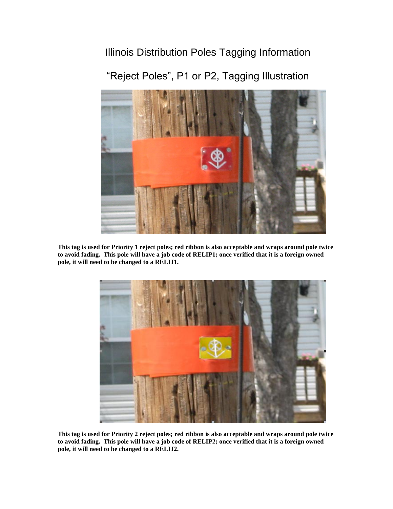## Illinois Distribution Poles Tagging Information



"Reject Poles", P1 or P2, Tagging Illustration

**This tag is used for Priority 1 reject poles; red ribbon is also acceptable and wraps around pole twice to avoid fading. This pole will have a job code of RELIP1; once verified that it is a foreign owned pole, it will need to be changed to a RELIJ1.**



**This tag is used for Priority 2 reject poles; red ribbon is also acceptable and wraps around pole twice to avoid fading. This pole will have a job code of RELIP2; once verified that it is a foreign owned pole, it will need to be changed to a RELIJ2.**